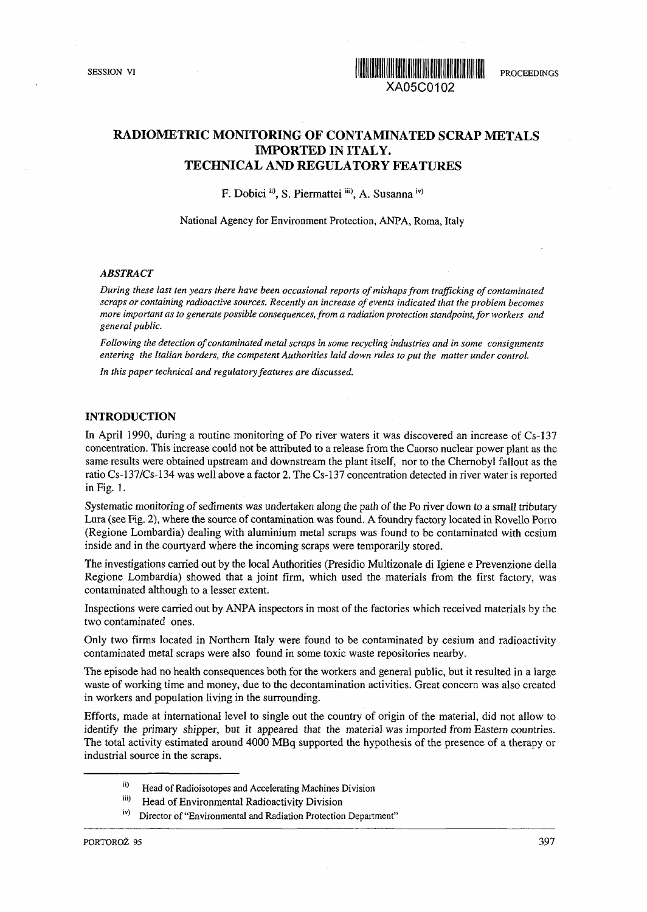

# **RADIOMETRIC MONITORING OF CONTAMINATED SCRAP METALS IMPORTED IN ITALY. TECHNICAL AND REGULATORY FEATURES**

F. Dobici <sup>ii)</sup>, S. Piermattei <sup>iii)</sup>, A. Susanna <sup>iv)</sup>

National Agency for Environment Protection, ANPA, Roma, Italy

#### *ABSTRACT*

*During these last ten years there have been occasional reports of mishaps from trafficking of contaminated scraps or containing radioactive sources. Recently an increase of events indicated that the problem becomes more important as to generate possible consequences, from a radiation protection standpoint, for workers and general public.*

*Following the detection of contaminated metal scraps in some recycling industries and in some consignments entering the Italian borders, the competent Authorities laid down rules to put the matter under control.*

*In this paper technical and regulatory features are discussed.*

## **INTRODUCTION**

In April 1990, during a routine monitoring of Po river waters it was discovered an increase of Cs-137 concentration. This increase could not be attributed to a release from the Caorso nuclear power plant as the same results were obtained upstream and downstream the plant itself, nor to the Chernobyl fallout as the ratio Cs-137/Cs-134 was well above a factor 2. The Cs-137 concentration detected in river water is reported in Fig. 1.

Systematic monitoring of sediments was undertaken along the path of the Po river down to a small tributary Lura (see Fig. 2), where the source of contamination was found. A foundry factory located in Rovello Porro (Regione Lombardia) dealing with aluminium metal scraps was found to be contaminated with cesium inside and in the courtyard where the incoming scraps were temporarily stored.

The investigations carried out by the local Authorities (Presidio Multizonale di Igiene e Prevenzione della Regione Lombardia) showed that a joint firm, which used the materials from the first factory, was contaminated although to a lesser extent.

Inspections were carried out by ANPA inspectors in most of the factories which received materials by the two contaminated ones.

Only two firms located in Northern Italy were found to be contaminated by cesium and radioactivity contaminated metal scraps were also found in some toxic waste repositories nearby.

The episode had no health consequences both for the workers and general public, but it resulted in a large waste of working time and money, due to the decontamination activities. Great concern was also created in workers and population living in the surrounding.

Efforts, made at international level to single out the country of origin of the material, did not allow to identify the primary shipper, but it appeared that the material was imported from Eastern countries. The total activity estimated around 4000 MBq supported the hypothesis of the presence of a therapy or industrial source in the scraps.

- n) Head of Radioisotopes and Accelerating Machines Division
- iii)<br>'' Head of Environmental Radioactivity Division
- lv) Director of "Environmental and Radiation Protection Department"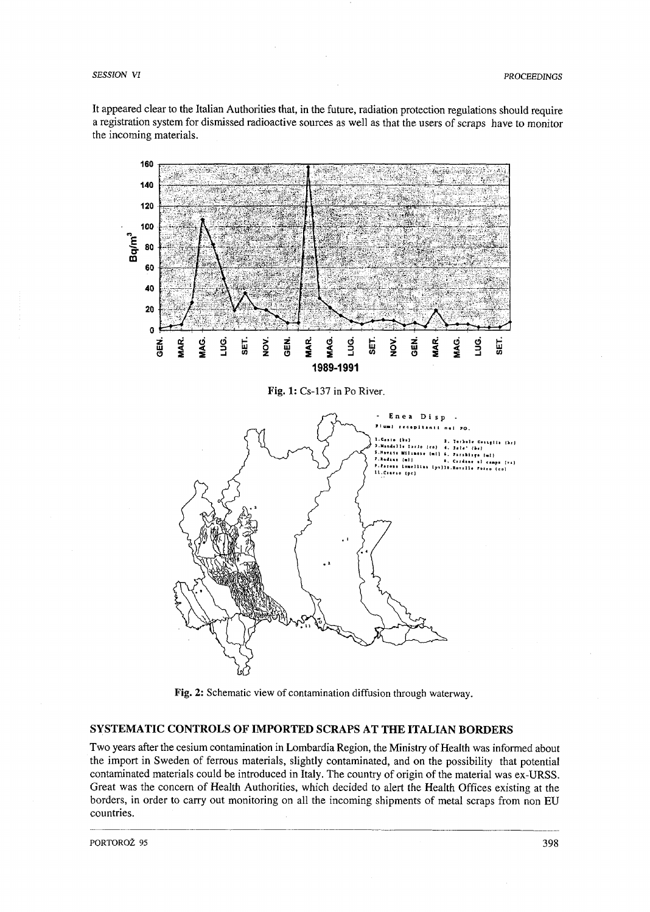It appeared clear to the Italian Authorities that, in the future, radiation protection regulations should require a registration system for dismissed radioactive sources as well as that the users of scraps have to monitor the incoming materials.



**Fig.** 2: Schematic view of contamination diffusion through waterway.

# **SYSTEMATIC CONTROLS OF IMPORTED SCRAPS AT THE ITALIAN BORDERS**

Two years after the cesium contamination in Lombardia Region, the Ministry of Health was informed about the import in Sweden of ferrous materials, slightly contaminated, and on the possibility that potential contaminated materials could be introduced in Italy. The country of origin of the material was ex-URSS. Great was the concern of Health Authorities, which decided to alert the Health Offices existing at the borders, in order to carry out monitoring on all the incoming shipments of metal scraps from non EU countries.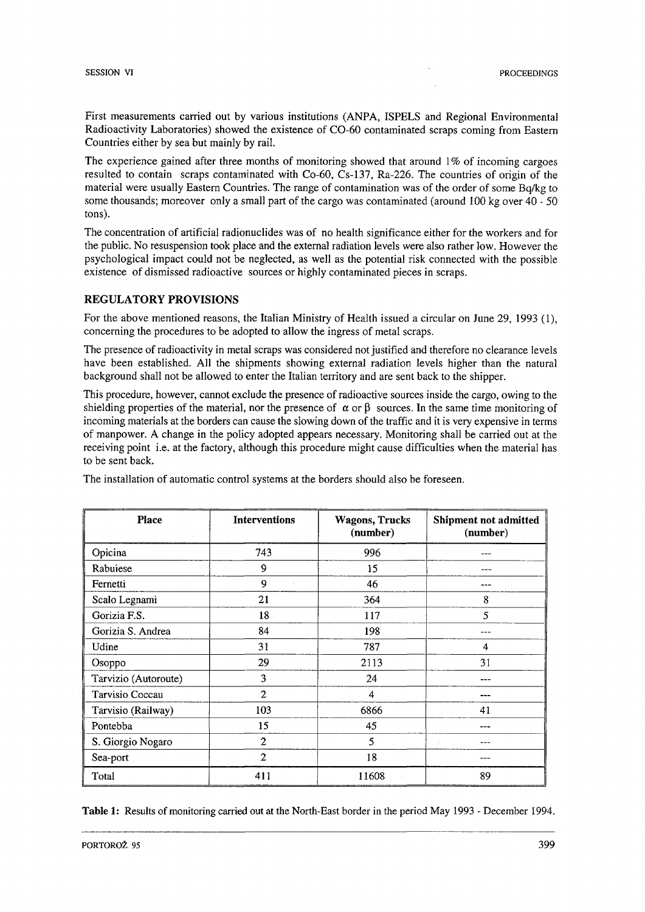First measurements carried out by various institutions (ANPA, ISPELS and Regional Environmental Radioactivity Laboratories) showed the existence of CO-60 contaminated scraps coming from Eastern Countries either by sea but mainly by rail.

The experience gained after three months of monitoring showed that around  $1\%$  of incoming cargoes resulted to contain scraps contaminated with Co-60, Cs-137, Ra-226. The countries of origin of the material were usually Eastern Countries. The range of contamination was of the order of some Bq/kg to some thousands; moreover only a small part of the cargo was contaminated (around 100 kg over 40 - 50 tons).

The concentration of artificial radionuclides was of no health significance either for the workers and for the public. No resuspension took place and the external radiation levels were also rather low. However the psychological impact could not be neglected, as well as the potential risk connected with the possible existence of dismissed radioactive sources or highly contaminated pieces in scraps.

# **REGULATORY PROVISIONS**

For the above mentioned reasons, the Italian Ministry of Health issued a circular on June 29, 1993 (1), concerning the procedures to be adopted to allow the ingress of metal scraps.

The presence of radioactivity in metal scraps was considered not justified and therefore no clearance levels have been established. All the shipments showing external radiation levels higher than the natural background shall not be allowed to enter the Italian territory and are sent back to the shipper.

This procedure, however, cannot exclude the presence of radioactive sources inside the cargo, owing to the shielding properties of the material, nor the presence of  $\alpha$  or  $\beta$  sources. In the same time monitoring of incoming materials at the borders can cause the slowing down of the traffic and it is very expensive in terms of manpower. A change in the policy adopted appears necessary. Monitoring shall be carried out at the receiving point i.e. at the factory, although this procedure might cause difficulties when the material has to be sent back.

| <b>Place</b>         | <b>Interventions</b> | <b>Wagons, Trucks</b><br>(number) | Shipment not admitted<br>(number) |
|----------------------|----------------------|-----------------------------------|-----------------------------------|
| Opicina              | 743                  | 996                               |                                   |
| Rabuiese             | 9                    | 15                                |                                   |
| Fernetti             | 9                    | 46                                | --                                |
| Scalo Legnami        | 21                   | 364                               | 8                                 |
| Gorizia F.S.         | 18                   | 117                               | 5                                 |
| Gorizia S. Andrea    | 84                   | 198                               |                                   |
| Udine                | 31                   | 787                               | 4                                 |
| Osoppo               | 29                   | 2113                              | 31                                |
| Tarvizio (Autoroute) | 3                    | 24                                |                                   |
| Tarvisio Coccau      | $\overline{2}$       | $\overline{4}$                    | ----                              |
| Tarvisio (Railway)   | 103                  | 6866                              | 41                                |
| Pontebba             | 15                   | 45                                | ---                               |
| S. Giorgio Nogaro    | $\mathbf{2}$         | 5                                 |                                   |
| Sea-port             | $\overline{2}$       | 18                                |                                   |
| Total                | 411                  | 11608                             | 89                                |

The installation of automatic control systems at the borders should also be foreseen.

**Table 1:** Results of monitoring carried out at the North-East border in the period May 1993 - December 1994.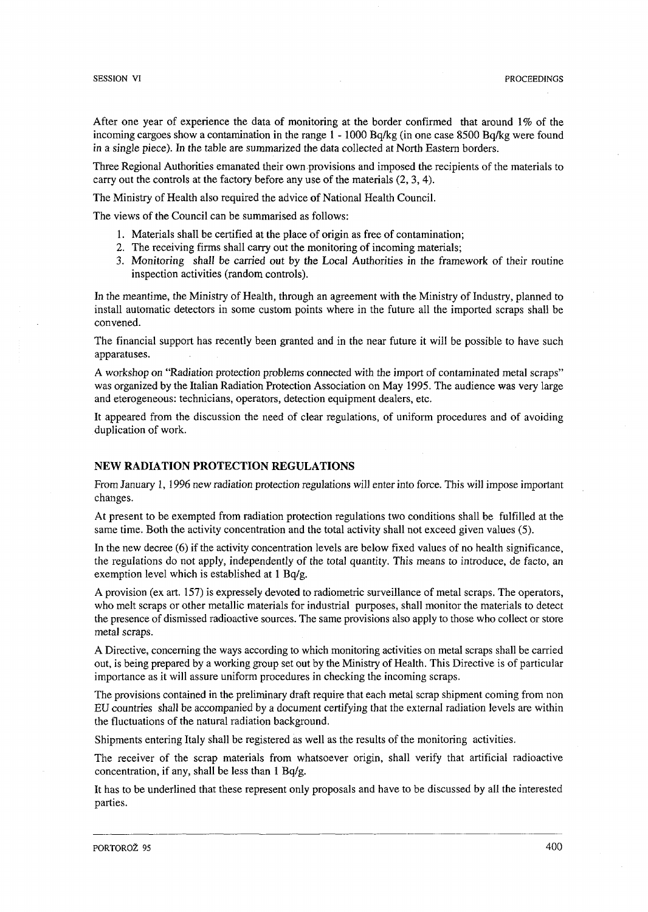After one year of experience the data of monitoring at the border confirmed that around 1% of the incoming cargoes show a contamination in the range 1 -1000 Bq/kg (in one case 8500 Bq/kg were found in a single piece). In the table are summarized the data collected at North Eastern borders.

Three Regional Authorities emanated their own provisions and imposed the recipients of the materials to carry out the controls at the factory before any use of the materials (2, 3, 4).

The Ministry of Health also required the advice of National Health Council.

The views of the Council can be summarised as follows:

- 1. Materials shall be certified at the place of origin as free of contamination;
- 2. The receiving firms shall carry out the monitoring of incoming materials;
- 3. Monitoring shall be carried out by the Local Authorities in the framework of their routine inspection activities (random controls).

In the meantime, the Ministry of Health, through an agreement with the Ministry of Industry, planned to install automatic detectors in some custom points where in the future all the imported scraps shall be convened.

The financial support has recently been granted and in the near future it will be possible to have such apparatuses.

A workshop on "Radiation protection problems connected with the import of contaminated metal scraps" was organized by the Italian Radiation Protection Association on May 1995. The audience was very large and eterogeneous: technicians, operators, detection equipment dealers, etc.

It appeared from the discussion the need of clear regulations, of uniform procedures and of avoiding duplication of work.

## **NEW RADIATION PROTECTION REGULATIONS**

From January 1, 1996 new radiation protection regulations will enter into force. This will impose important changes.

At present to be exempted from radiation protection regulations two conditions shall be fulfilled at the same time. Both the activity concentration and the total activity shall not exceed given values (5).

In the new decree (6) if the activity concentration levels are below fixed values of no health significance, the regulations do not apply, independently of the total quantity. This means to introduce, de facto, an exemption level which is established at 1 Bq/g.

A provision (ex art. 157) is expressely devoted to radiometric surveillance of metal scraps. The operators, who melt scraps or other metallic materials for industrial purposes, shall monitor the materials to detect the presence of dismissed radioactive sources. The same provisions also apply to those who collect or store metal scraps.

A Directive, concerning the ways according to which monitoring activities on metal scraps shall be carried out, is being prepared by a working group set out by the Ministry of Health. This Directive is of particular importance as it will assure uniform procedures in checking the incoming scraps.

The provisions contained in the preliminary draft require that each metal scrap shipment coming from non EU countries shall be accompanied by a document certifying that the external radiation levels are within the fluctuations of the natural radiation background.

Shipments entering Italy shall be registered as well as the results of the monitoring activities.

The receiver of the scrap materials from whatsoever origin, shall verify that artificial radioactive concentration, if any, shall be less than 1 Bq/g.

It has to be underlined that these represent only proposals and have to be discussed by all the interested parties.